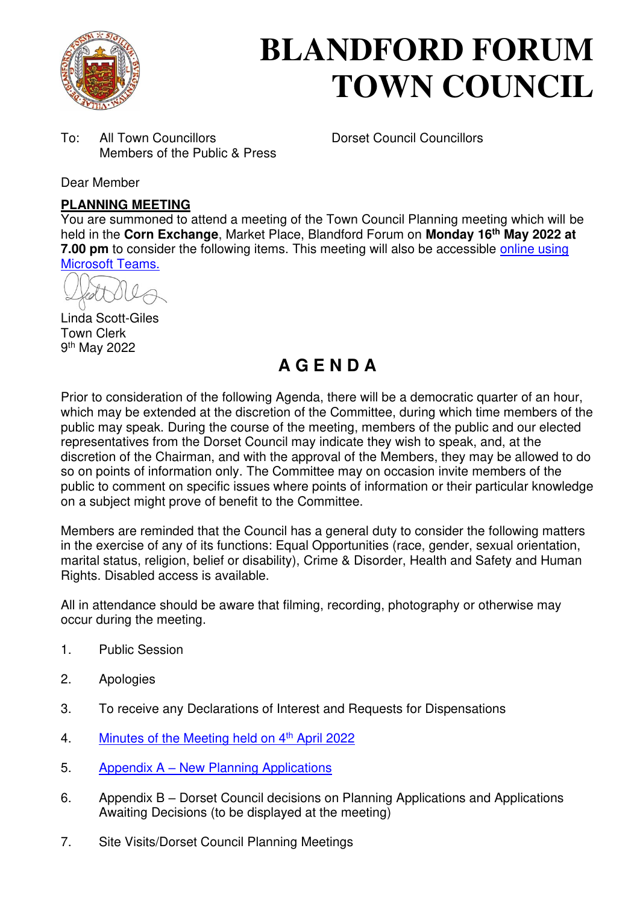

# **BLANDFORD FORUM TOWN COUNCIL**

To: All Town Councillors Dorset Council Councillors Members of the Public & Press

Dear Member

## **PLANNING MEETING**

You are summoned to attend a meeting of the Town Council Planning meeting which will be held in the **Corn Exchange**, Market Place, Blandford Forum on **Monday 16th May 2022 at 7.00 pm** to consider the following items. This meeting will also be accessible online using [Microsoft Teams.](https://teams.microsoft.com/l/meetup-join/19%3a2cb1b1f9de074efdad40308940ab9ba0%40thread.tacv2/1649329024908?context=%7b%22Tid%22%3a%223cd8f2fb-4c45-4162-86f1-fb87b5f6a138%22%2c%22Oid%22%3a%2265e5950c-ab1c-41cc-9090-4a755c733f54%22%7d)

Linda Scott-Giles Town Clerk 9<sup>th</sup> May 2022

## **A G E N D A**

Prior to consideration of the following Agenda, there will be a democratic quarter of an hour, which may be extended at the discretion of the Committee, during which time members of the public may speak. During the course of the meeting, members of the public and our elected representatives from the Dorset Council may indicate they wish to speak, and, at the discretion of the Chairman, and with the approval of the Members, they may be allowed to do so on points of information only. The Committee may on occasion invite members of the public to comment on specific issues where points of information or their particular knowledge on a subject might prove of benefit to the Committee.

Members are reminded that the Council has a general duty to consider the following matters in the exercise of any of its functions: Equal Opportunities (race, gender, sexual orientation, marital status, religion, belief or disability), Crime & Disorder, Health and Safety and Human Rights. Disabled access is available.

All in attendance should be aware that filming, recording, photography or otherwise may occur during the meeting.

- 1. Public Session
- 2. Apologies
- 3. To receive any Declarations of Interest and Requests for Dispensations
- 4. [Minutes of the Meeting held on 4](https://blandfordforum-tc.gov.uk/wp-content/uploads/2022/04/040422.pdf)<sup>th</sup> April 2022
- 5. Appendix A New Planning Applications
- 6. Appendix B Dorset Council decisions on Planning Applications and Applications Awaiting Decisions (to be displayed at the meeting)
- 7. Site Visits/Dorset Council Planning Meetings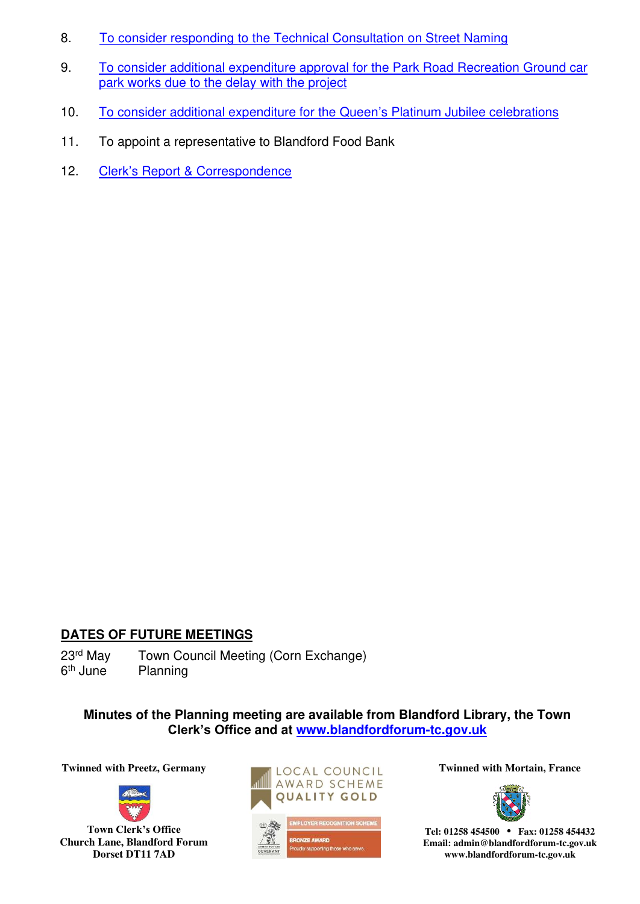- 8. [To consider responding to the Technical Consultation on Street Naming](#page-9-0)
- 9. [To consider additional expenditure approval for the Park Road Recreation Ground car](#page-10-0)  [park works due to the delay with the project](#page-10-0)
- 10. [To consider additional expenditure for the Queen](#page-11-0)'s Platinum Jubilee celebrations
- 11. To appoint a representative to Blandford Food Bank
- 12. Clerk'[s Report & Correspondence](#page-13-0)

## **DATES OF FUTURE MEETINGS**

23<sup>rd</sup> May Town Council Meeting (Corn Exchange) 6<sup>th</sup> June Planning

**Minutes of the Planning meeting are available from Blandford Library, the Town Clerk's Office and at [www.blandfordforum-tc.gov.uk](http://www.blandfordforum-tc.gov.uk/)**



**Town Clerk's Office Church Lane, Blandford Forum Dorset DT11 7AD**





**Tel: 01258 454500 • Fax: 01258 454432 Email: admin@blandfordforum-tc.gov.uk www.blandfordforum-tc.gov.uk**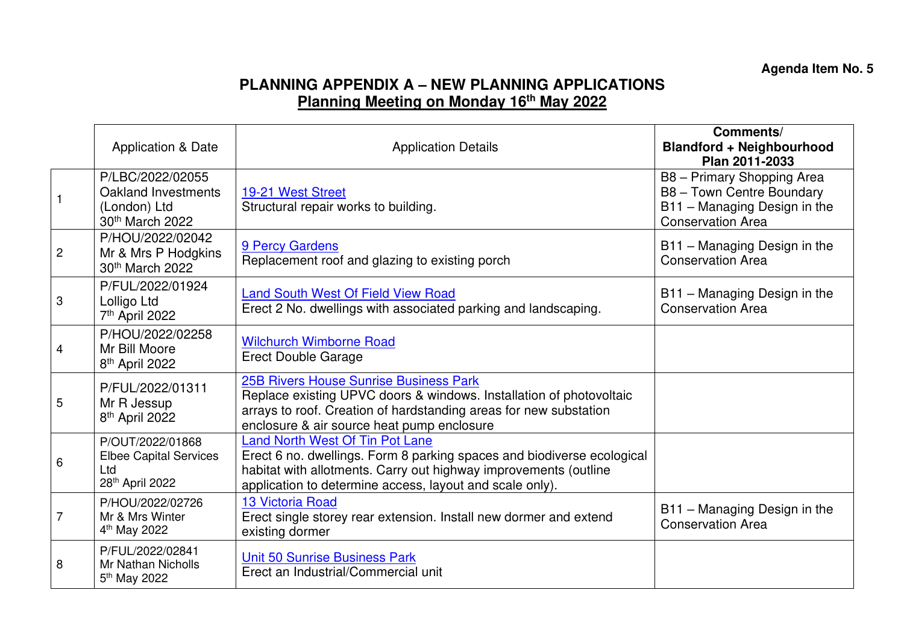## **PLANNING APPENDIX A – NEW PLANNING APPLICATIONS Planning Meeting on Monday 16th May 2022**

|                | <b>Application &amp; Date</b>                                                           | <b>Application Details</b>                                                                                                                                                                                                                       | Comments/<br><b>Blandford + Neighbourhood</b><br>Plan 2011-2033                                                     |
|----------------|-----------------------------------------------------------------------------------------|--------------------------------------------------------------------------------------------------------------------------------------------------------------------------------------------------------------------------------------------------|---------------------------------------------------------------------------------------------------------------------|
|                | P/LBC/2022/02055<br>Oakland Investments<br>(London) Ltd<br>30th March 2022              | 19-21 West Street<br>Structural repair works to building.                                                                                                                                                                                        | B8 - Primary Shopping Area<br>B8 - Town Centre Boundary<br>B11 - Managing Design in the<br><b>Conservation Area</b> |
| $\overline{c}$ | P/HOU/2022/02042<br>Mr & Mrs P Hodgkins<br>30th March 2022                              | 9 Percy Gardens<br>Replacement roof and glazing to existing porch                                                                                                                                                                                | B11 - Managing Design in the<br><b>Conservation Area</b>                                                            |
| 3              | P/FUL/2022/01924<br>Lolligo Ltd<br>7 <sup>th</sup> April 2022                           | <b>Land South West Of Field View Road</b><br>Erect 2 No. dwellings with associated parking and landscaping.                                                                                                                                      | B11 - Managing Design in the<br><b>Conservation Area</b>                                                            |
| 4              | P/HOU/2022/02258<br>Mr Bill Moore<br>8 <sup>th</sup> April 2022                         | <b>Wilchurch Wimborne Road</b><br><b>Erect Double Garage</b>                                                                                                                                                                                     |                                                                                                                     |
| 5              | P/FUL/2022/01311<br>Mr R Jessup<br>8 <sup>th</sup> April 2022                           | <b>25B Rivers House Sunrise Business Park</b><br>Replace existing UPVC doors & windows. Installation of photovoltaic<br>arrays to roof. Creation of hardstanding areas for new substation<br>enclosure & air source heat pump enclosure          |                                                                                                                     |
| 6              | P/OUT/2022/01868<br><b>Elbee Capital Services</b><br>Ltd<br>28 <sup>th</sup> April 2022 | <b>Land North West Of Tin Pot Lane</b><br>Erect 6 no. dwellings. Form 8 parking spaces and biodiverse ecological<br>habitat with allotments. Carry out highway improvements (outline<br>application to determine access, layout and scale only). |                                                                                                                     |
| 7              | P/HOU/2022/02726<br>Mr & Mrs Winter<br>4 <sup>th</sup> May 2022                         | <b>13 Victoria Road</b><br>Erect single storey rear extension. Install new dormer and extend<br>existing dormer                                                                                                                                  | B11 - Managing Design in the<br><b>Conservation Area</b>                                                            |
| 8              | P/FUL/2022/02841<br><b>Mr Nathan Nicholls</b><br>5 <sup>th</sup> May 2022               | Unit 50 Sunrise Business Park<br>Erect an Industrial/Commercial unit                                                                                                                                                                             |                                                                                                                     |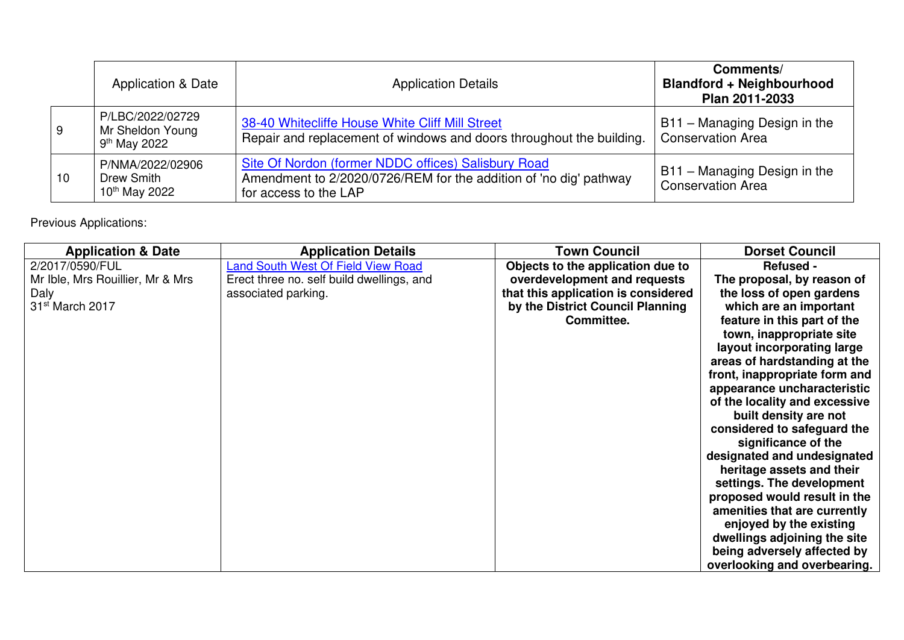|    | <b>Application &amp; Date</b>                          | <b>Application Details</b>                                                                                                                        | Comments/<br><b>Blandford + Neighbourhood</b><br>Plan 2011-2033 |
|----|--------------------------------------------------------|---------------------------------------------------------------------------------------------------------------------------------------------------|-----------------------------------------------------------------|
| 9  | P/LBC/2022/02729<br>Mr Sheldon Young<br>$9th$ May 2022 | 38-40 Whitecliffe House White Cliff Mill Street<br>Repair and replacement of windows and doors throughout the building.                           | B11 - Managing Design in the<br><b>Conservation Area</b>        |
| 10 | P/NMA/2022/02906<br>Drew Smith<br>$10^{th}$ May 2022   | Site Of Nordon (former NDDC offices) Salisbury Road<br>Amendment to 2/2020/0726/REM for the addition of 'no dig' pathway<br>for access to the LAP | B11 - Managing Design in the<br><b>Conservation Area</b>        |

## Previous Applications:

| <b>Application &amp; Date</b>    | <b>Application Details</b>                | <b>Town Council</b>                 | <b>Dorset Council</b>         |
|----------------------------------|-------------------------------------------|-------------------------------------|-------------------------------|
| 2/2017/0590/FUL                  | <b>Land South West Of Field View Road</b> | Objects to the application due to   | <b>Refused -</b>              |
| Mr Ible, Mrs Rouillier, Mr & Mrs | Erect three no. self build dwellings, and | overdevelopment and requests        | The proposal, by reason of    |
| Daly                             | associated parking.                       | that this application is considered | the loss of open gardens      |
| 31 <sup>st</sup> March 2017      |                                           | by the District Council Planning    | which are an important        |
|                                  |                                           | Committee.                          | feature in this part of the   |
|                                  |                                           |                                     | town, inappropriate site      |
|                                  |                                           |                                     | layout incorporating large    |
|                                  |                                           |                                     | areas of hardstanding at the  |
|                                  |                                           |                                     | front, inappropriate form and |
|                                  |                                           |                                     | appearance uncharacteristic   |
|                                  |                                           |                                     | of the locality and excessive |
|                                  |                                           |                                     | built density are not         |
|                                  |                                           |                                     | considered to safeguard the   |
|                                  |                                           |                                     | significance of the           |
|                                  |                                           |                                     | designated and undesignated   |
|                                  |                                           |                                     | heritage assets and their     |
|                                  |                                           |                                     | settings. The development     |
|                                  |                                           |                                     | proposed would result in the  |
|                                  |                                           |                                     | amenities that are currently  |
|                                  |                                           |                                     | enjoyed by the existing       |
|                                  |                                           |                                     | dwellings adjoining the site  |
|                                  |                                           |                                     | being adversely affected by   |
|                                  |                                           |                                     | overlooking and overbearing.  |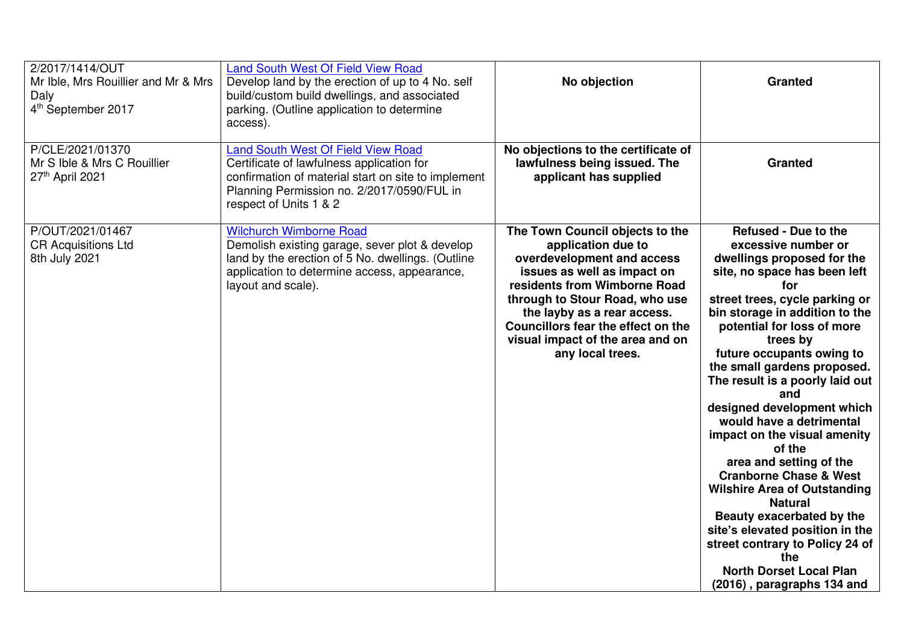| 2/2017/1414/OUT<br>Mr Ible, Mrs Rouillier and Mr & Mrs<br>Daly<br>4 <sup>th</sup> September 2017 | <b>Land South West Of Field View Road</b><br>Develop land by the erection of up to 4 No. self<br>build/custom build dwellings, and associated<br>parking. (Outline application to determine<br>access).        | No objection                                                                                                                                                                                                                                                                                                      | <b>Granted</b>                                                                                                                                                                                                                                                                                                                                                                                                                                                                                                                                                                                                                                                                                                                                     |
|--------------------------------------------------------------------------------------------------|----------------------------------------------------------------------------------------------------------------------------------------------------------------------------------------------------------------|-------------------------------------------------------------------------------------------------------------------------------------------------------------------------------------------------------------------------------------------------------------------------------------------------------------------|----------------------------------------------------------------------------------------------------------------------------------------------------------------------------------------------------------------------------------------------------------------------------------------------------------------------------------------------------------------------------------------------------------------------------------------------------------------------------------------------------------------------------------------------------------------------------------------------------------------------------------------------------------------------------------------------------------------------------------------------------|
| P/CLE/2021/01370<br>Mr S Ible & Mrs C Rouillier<br>27th April 2021                               | Land South West Of Field View Road<br>Certificate of lawfulness application for<br>confirmation of material start on site to implement<br>Planning Permission no. 2/2017/0590/FUL in<br>respect of Units 1 & 2 | No objections to the certificate of<br>lawfulness being issued. The<br>applicant has supplied                                                                                                                                                                                                                     | <b>Granted</b>                                                                                                                                                                                                                                                                                                                                                                                                                                                                                                                                                                                                                                                                                                                                     |
| P/OUT/2021/01467<br><b>CR Acquisitions Ltd</b><br>8th July 2021                                  | <b>Wilchurch Wimborne Road</b><br>Demolish existing garage, sever plot & develop<br>land by the erection of 5 No. dwellings. (Outline<br>application to determine access, appearance,<br>layout and scale).    | The Town Council objects to the<br>application due to<br>overdevelopment and access<br>issues as well as impact on<br>residents from Wimborne Road<br>through to Stour Road, who use<br>the layby as a rear access.<br>Councillors fear the effect on the<br>visual impact of the area and on<br>any local trees. | <b>Refused - Due to the</b><br>excessive number or<br>dwellings proposed for the<br>site, no space has been left<br>for<br>street trees, cycle parking or<br>bin storage in addition to the<br>potential for loss of more<br>trees by<br>future occupants owing to<br>the small gardens proposed.<br>The result is a poorly laid out<br>and<br>designed development which<br>would have a detrimental<br>impact on the visual amenity<br>of the<br>area and setting of the<br><b>Cranborne Chase &amp; West</b><br><b>Wilshire Area of Outstanding</b><br><b>Natural</b><br>Beauty exacerbated by the<br>site's elevated position in the<br>street contrary to Policy 24 of<br>the<br><b>North Dorset Local Plan</b><br>(2016), paragraphs 134 and |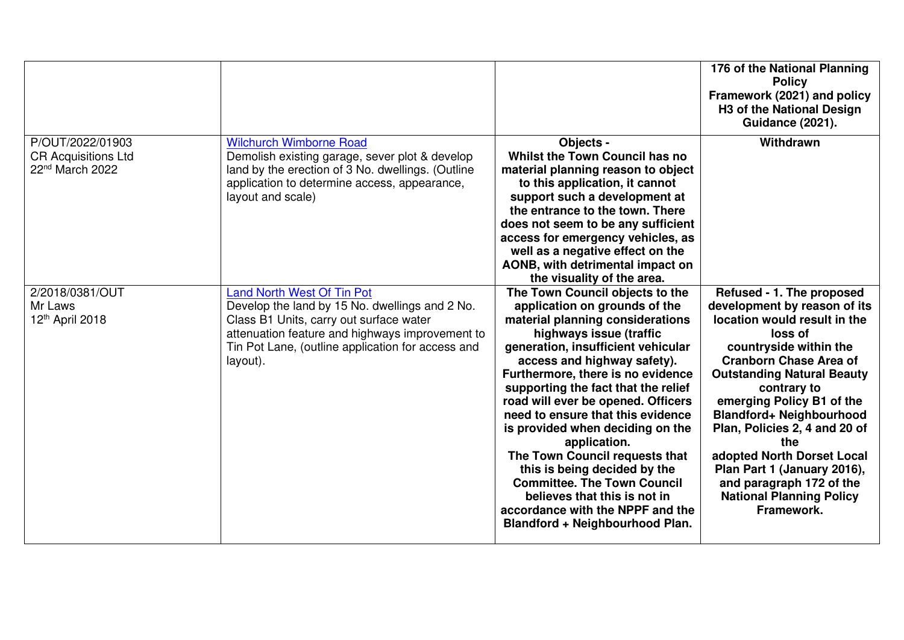|                                                                               |                                                                                                                                                                                                                                                    |                                                                                                                                                                                                                                                                                                                                                                                                                                                                                                                                                                                                                                | 176 of the National Planning<br><b>Policy</b><br>Framework (2021) and policy<br>H3 of the National Design<br><b>Guidance (2021).</b>                                                                                                                                                                                                                                                                                                                           |
|-------------------------------------------------------------------------------|----------------------------------------------------------------------------------------------------------------------------------------------------------------------------------------------------------------------------------------------------|--------------------------------------------------------------------------------------------------------------------------------------------------------------------------------------------------------------------------------------------------------------------------------------------------------------------------------------------------------------------------------------------------------------------------------------------------------------------------------------------------------------------------------------------------------------------------------------------------------------------------------|----------------------------------------------------------------------------------------------------------------------------------------------------------------------------------------------------------------------------------------------------------------------------------------------------------------------------------------------------------------------------------------------------------------------------------------------------------------|
| P/OUT/2022/01903<br><b>CR Acquisitions Ltd</b><br>22 <sup>nd</sup> March 2022 | <b>Wilchurch Wimborne Road</b><br>Demolish existing garage, sever plot & develop<br>land by the erection of 3 No. dwellings. (Outline<br>application to determine access, appearance,<br>layout and scale)                                         | Objects -<br>Whilst the Town Council has no<br>material planning reason to object<br>to this application, it cannot<br>support such a development at<br>the entrance to the town. There<br>does not seem to be any sufficient<br>access for emergency vehicles, as<br>well as a negative effect on the<br>AONB, with detrimental impact on<br>the visuality of the area.                                                                                                                                                                                                                                                       | Withdrawn                                                                                                                                                                                                                                                                                                                                                                                                                                                      |
| 2/2018/0381/OUT<br>Mr Laws<br>12th April 2018                                 | <b>Land North West Of Tin Pot</b><br>Develop the land by 15 No. dwellings and 2 No.<br>Class B1 Units, carry out surface water<br>attenuation feature and highways improvement to<br>Tin Pot Lane, (outline application for access and<br>layout). | The Town Council objects to the<br>application on grounds of the<br>material planning considerations<br>highways issue (traffic<br>generation, insufficient vehicular<br>access and highway safety).<br>Furthermore, there is no evidence<br>supporting the fact that the relief<br>road will ever be opened. Officers<br>need to ensure that this evidence<br>is provided when deciding on the<br>application.<br>The Town Council requests that<br>this is being decided by the<br><b>Committee. The Town Council</b><br>believes that this is not in<br>accordance with the NPPF and the<br>Blandford + Neighbourhood Plan. | Refused - 1. The proposed<br>development by reason of its<br>location would result in the<br>loss of<br>countryside within the<br><b>Cranborn Chase Area of</b><br><b>Outstanding Natural Beauty</b><br>contrary to<br>emerging Policy B1 of the<br>Blandford+ Neighbourhood<br>Plan, Policies 2, 4 and 20 of<br>the<br>adopted North Dorset Local<br>Plan Part 1 (January 2016),<br>and paragraph 172 of the<br><b>National Planning Policy</b><br>Framework. |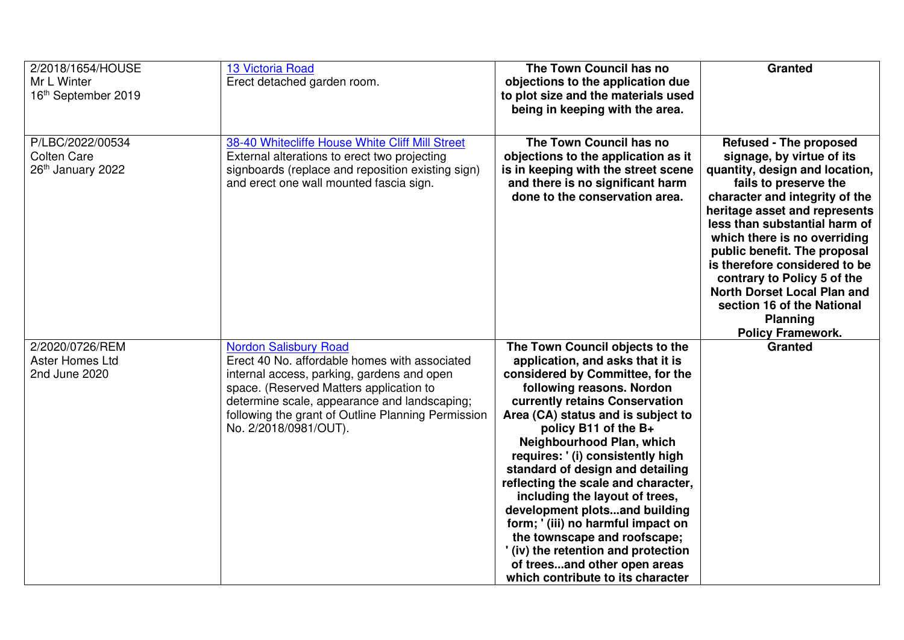| 2/2018/1654/HOUSE<br>Mr L Winter<br>16th September 2019     | <b>13 Victoria Road</b><br>Erect detached garden room.                                                                                                                                                                                                                                                | The Town Council has no<br>objections to the application due<br>to plot size and the materials used<br>being in keeping with the area.                                                                                                                                                                                                                                                                                                                                                                                                                                                                                              | <b>Granted</b>                                                                                                                                                                                                                                                                                                                                                                                                                                                               |
|-------------------------------------------------------------|-------------------------------------------------------------------------------------------------------------------------------------------------------------------------------------------------------------------------------------------------------------------------------------------------------|-------------------------------------------------------------------------------------------------------------------------------------------------------------------------------------------------------------------------------------------------------------------------------------------------------------------------------------------------------------------------------------------------------------------------------------------------------------------------------------------------------------------------------------------------------------------------------------------------------------------------------------|------------------------------------------------------------------------------------------------------------------------------------------------------------------------------------------------------------------------------------------------------------------------------------------------------------------------------------------------------------------------------------------------------------------------------------------------------------------------------|
| P/LBC/2022/00534<br><b>Colten Care</b><br>26th January 2022 | 38-40 Whitecliffe House White Cliff Mill Street<br>External alterations to erect two projecting<br>signboards (replace and reposition existing sign)<br>and erect one wall mounted fascia sign.                                                                                                       | The Town Council has no<br>objections to the application as it<br>is in keeping with the street scene<br>and there is no significant harm<br>done to the conservation area.                                                                                                                                                                                                                                                                                                                                                                                                                                                         | <b>Refused - The proposed</b><br>signage, by virtue of its<br>quantity, design and location,<br>fails to preserve the<br>character and integrity of the<br>heritage asset and represents<br>less than substantial harm of<br>which there is no overriding<br>public benefit. The proposal<br>is therefore considered to be<br>contrary to Policy 5 of the<br><b>North Dorset Local Plan and</b><br>section 16 of the National<br><b>Planning</b><br><b>Policy Framework.</b> |
| 2/2020/0726/REM<br><b>Aster Homes Ltd</b><br>2nd June 2020  | <b>Nordon Salisbury Road</b><br>Erect 40 No. affordable homes with associated<br>internal access, parking, gardens and open<br>space. (Reserved Matters application to<br>determine scale, appearance and landscaping;<br>following the grant of Outline Planning Permission<br>No. 2/2018/0981/OUT). | The Town Council objects to the<br>application, and asks that it is<br>considered by Committee, for the<br>following reasons. Nordon<br>currently retains Conservation<br>Area (CA) status and is subject to<br>policy B11 of the B+<br>Neighbourhood Plan, which<br>requires: '(i) consistently high<br>standard of design and detailing<br>reflecting the scale and character,<br>including the layout of trees,<br>development plotsand building<br>form; '(iii) no harmful impact on<br>the townscape and roofscape;<br>'(iv) the retention and protection<br>of treesand other open areas<br>which contribute to its character | <b>Granted</b>                                                                                                                                                                                                                                                                                                                                                                                                                                                               |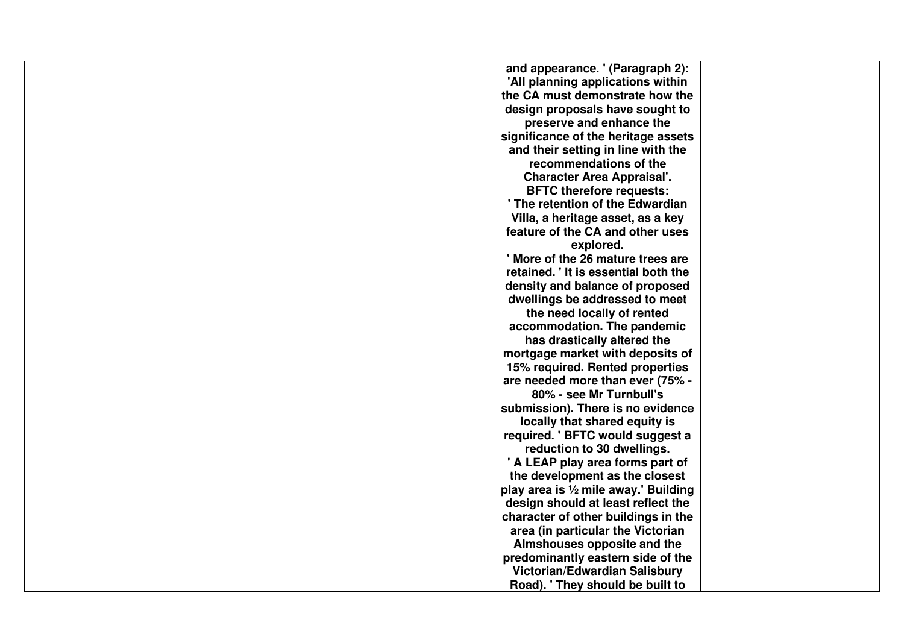| and appearance. ' (Paragraph 2):      |
|---------------------------------------|
| 'All planning applications within     |
| the CA must demonstrate how the       |
| design proposals have sought to       |
| preserve and enhance the              |
| significance of the heritage assets   |
| and their setting in line with the    |
| recommendations of the                |
| <b>Character Area Appraisal'.</b>     |
| <b>BFTC therefore requests:</b>       |
| ' The retention of the Edwardian      |
| Villa, a heritage asset, as a key     |
| feature of the CA and other uses      |
| explored.                             |
| ' More of the 26 mature trees are     |
| retained. 'It is essential both the   |
| density and balance of proposed       |
| dwellings be addressed to meet        |
| the need locally of rented            |
| accommodation. The pandemic           |
| has drastically altered the           |
| mortgage market with deposits of      |
| 15% required. Rented properties       |
| are needed more than ever (75% -      |
| 80% - see Mr Turnbull's               |
| submission). There is no evidence     |
| locally that shared equity is         |
| required. ' BFTC would suggest a      |
| reduction to 30 dwellings.            |
| ' A LEAP play area forms part of      |
| the development as the closest        |
| play area is 1/2 mile away.' Building |
| design should at least reflect the    |
| character of other buildings in the   |
| area (in particular the Victorian     |
| Almshouses opposite and the           |
| predominantly eastern side of the     |
| Victorian/Edwardian Salisbury         |
| Road). 'They should be built to       |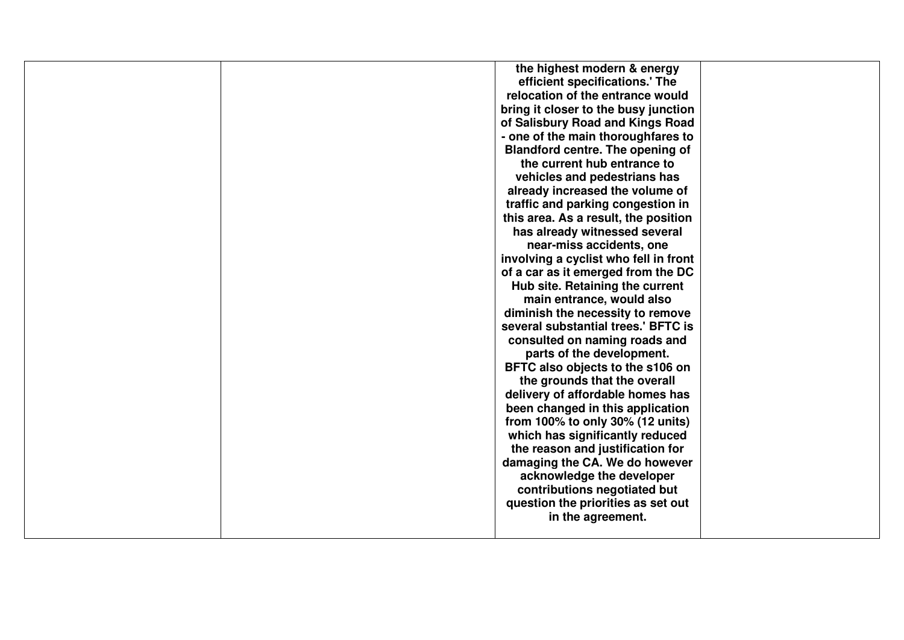| the highest modern & energy             |
|-----------------------------------------|
| efficient specifications.' The          |
| relocation of the entrance would        |
| bring it closer to the busy junction    |
| of Salisbury Road and Kings Road        |
|                                         |
| - one of the main thoroughfares to      |
| <b>Blandford centre. The opening of</b> |
| the current hub entrance to             |
| vehicles and pedestrians has            |
| already increased the volume of         |
| traffic and parking congestion in       |
| this area. As a result, the position    |
| has already witnessed several           |
| near-miss accidents, one                |
| involving a cyclist who fell in front   |
| of a car as it emerged from the DC      |
| Hub site. Retaining the current         |
| main entrance, would also               |
| diminish the necessity to remove        |
| several substantial trees.' BFTC is     |
| consulted on naming roads and           |
| parts of the development.               |
| BFTC also objects to the s106 on        |
| the grounds that the overall            |
| delivery of affordable homes has        |
| been changed in this application        |
|                                         |
| from 100% to only 30% (12 units)        |
| which has significantly reduced         |
| the reason and justification for        |
| damaging the CA. We do however          |
| acknowledge the developer               |
| contributions negotiated but            |
| question the priorities as set out      |
| in the agreement.                       |
|                                         |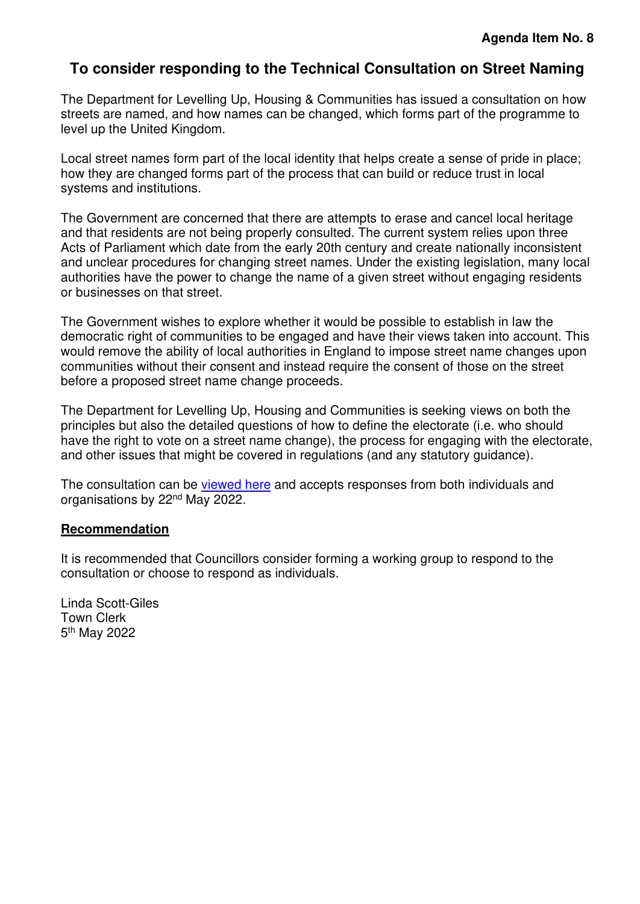## <span id="page-9-0"></span>**To consider responding to the Technical Consultation on Street Naming**

The Department for Levelling Up, Housing & Communities has issued a consultation on how streets are named, and how names can be changed, which forms part of the programme to level up the United Kingdom.

Local street names form part of the local identity that helps create a sense of pride in place; how they are changed forms part of the process that can build or reduce trust in local systems and institutions.

The Government are concerned that there are attempts to erase and cancel local heritage and that residents are not being properly consulted. The current system relies upon three Acts of Parliament which date from the early 20th century and create nationally inconsistent and unclear procedures for changing street names. Under the existing legislation, many local authorities have the power to change the name of a given street without engaging residents or businesses on that street.

The Government wishes to explore whether it would be possible to establish in law the democratic right of communities to be engaged and have their views taken into account. This would remove the ability of local authorities in England to impose street name changes upon communities without their consent and instead require the consent of those on the street before a proposed street name change proceeds.

The Department for Levelling Up, Housing and Communities is seeking views on both the principles but also the detailed questions of how to define the electorate (i.e. who should have the right to vote on a street name change), the process for engaging with the electorate, and other issues that might be covered in regulations (and any statutory guidance).

The consultation can be [viewed here](https://consult.levellingup.gov.uk/planning-reform-legislation/technical-consultation-on-street-naming/consultation/subpage.2022-04-05.3508376227/) and accepts responses from both individuals and organisations by 22nd May 2022.

#### **Recommendation**

It is recommended that Councillors consider forming a working group to respond to the consultation or choose to respond as individuals.

Linda Scott-Giles Town Clerk 5<sup>th</sup> May 2022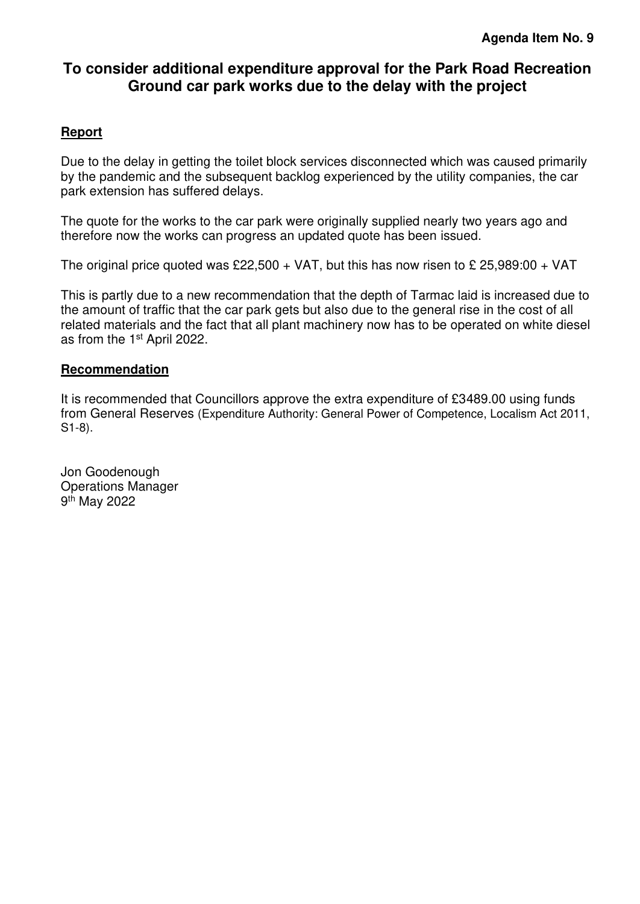## <span id="page-10-0"></span>**To consider additional expenditure approval for the Park Road Recreation Ground car park works due to the delay with the project**

## **Report**

Due to the delay in getting the toilet block services disconnected which was caused primarily by the pandemic and the subsequent backlog experienced by the utility companies, the car park extension has suffered delays.

The quote for the works to the car park were originally supplied nearly two years ago and therefore now the works can progress an updated quote has been issued.

The original price quoted was £22,500 + VAT, but this has now risen to £ 25,989:00 + VAT

This is partly due to a new recommendation that the depth of Tarmac laid is increased due to the amount of traffic that the car park gets but also due to the general rise in the cost of all related materials and the fact that all plant machinery now has to be operated on white diesel as from the 1st April 2022.

#### **Recommendation**

It is recommended that Councillors approve the extra expenditure of £3489.00 using funds from General Reserves (Expenditure Authority: General Power of Competence, Localism Act 2011, S1-8).

Jon Goodenough Operations Manager 9<sup>th</sup> May 2022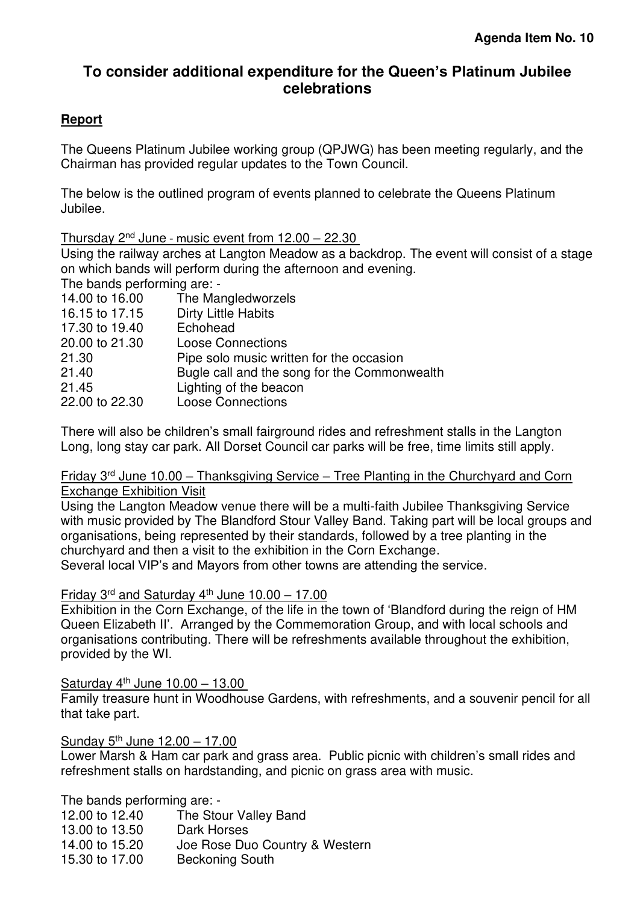## <span id="page-11-0"></span>**To consider additional expenditure for the Queen's Platinum Jubilee celebrations**

## **Report**

The Queens Platinum Jubilee working group (QPJWG) has been meeting regularly, and the Chairman has provided regular updates to the Town Council.

The below is the outlined program of events planned to celebrate the Queens Platinum Jubilee.

Thursday  $2^{nd}$  June - music event from  $12.00 - 22.30$ 

Using the railway arches at Langton Meadow as a backdrop. The event will consist of a stage on which bands will perform during the afternoon and evening.

The bands performing are: -

| 14.00 to 16.00 | The Mangledworzels                           |
|----------------|----------------------------------------------|
| 16.15 to 17.15 | <b>Dirty Little Habits</b>                   |
| 17.30 to 19.40 | Echohead                                     |
| 20.00 to 21.30 | <b>Loose Connections</b>                     |
| 21.30          | Pipe solo music written for the occasion     |
| 21.40          | Bugle call and the song for the Commonwealth |
| 21.45          | Lighting of the beacon                       |
| 22.00 to 22.30 | <b>Loose Connections</b>                     |
|                |                                              |

There will also be children's small fairground rides and refreshment stalls in the Langton Long, long stay car park. All Dorset Council car parks will be free, time limits still apply.

#### Friday 3rd June 10.00 – Thanksgiving Service – Tree Planting in the Churchyard and Corn Exchange Exhibition Visit

Using the Langton Meadow venue there will be a multi-faith Jubilee Thanksgiving Service with music provided by The Blandford Stour Valley Band. Taking part will be local groups and organisations, being represented by their standards, followed by a tree planting in the churchyard and then a visit to the exhibition in the Corn Exchange. Several local VIP's and Mayors from other towns are attending the service.

## Friday  $3^{rd}$  and Saturday  $4^{th}$  June 10.00 – 17.00

Exhibition in the Corn Exchange, of the life in the town of 'Blandford during the reign of HM Queen Elizabeth II'. Arranged by the Commemoration Group, and with local schools and organisations contributing. There will be refreshments available throughout the exhibition, provided by the WI.

## Saturday  $4<sup>th</sup>$  June 10.00 – 13.00

Family treasure hunt in Woodhouse Gardens, with refreshments, and a souvenir pencil for all that take part.

## Sunday 5<sup>th</sup> June 12.00 - 17.00

Lower Marsh & Ham car park and grass area. Public picnic with children's small rides and refreshment stalls on hardstanding, and picnic on grass area with music.

The bands performing are: -

12.00 to 12.40 The Stour Valley Band 13.00 to 13.50 Dark Horses<br>14.00 to 15.20 Joe Rose Du Joe Rose Duo Country & Western 15.30 to 17.00 Beckoning South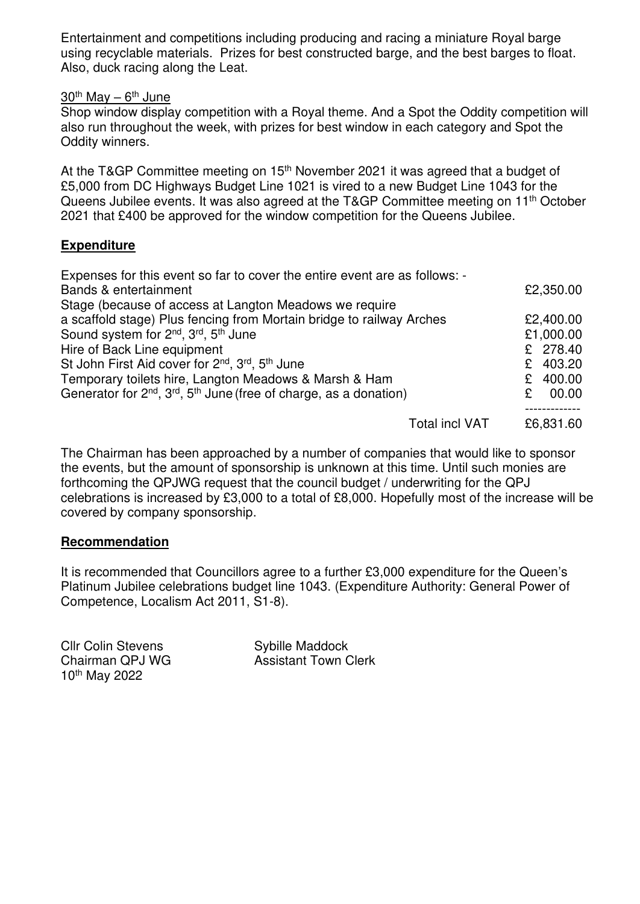Entertainment and competitions including producing and racing a miniature Royal barge using recyclable materials. Prizes for best constructed barge, and the best barges to float. Also, duck racing along the Leat.

#### $30<sup>th</sup>$  May –  $6<sup>th</sup>$  June

Shop window display competition with a Royal theme. And a Spot the Oddity competition will also run throughout the week, with prizes for best window in each category and Spot the Oddity winners.

At the T&GP Committee meeting on 15<sup>th</sup> November 2021 it was agreed that a budget of £5,000 from DC Highways Budget Line 1021 is vired to a new Budget Line 1043 for the Queens Jubilee events. It was also agreed at the T&GP Committee meeting on 11<sup>th</sup> October 2021 that £400 be approved for the window competition for the Queens Jubilee.

#### **Expenditure**

| Expenses for this event so far to cover the entire event are as follows: -           |             |  |
|--------------------------------------------------------------------------------------|-------------|--|
| Bands & entertainment                                                                | £2,350.00   |  |
| Stage (because of access at Langton Meadows we require                               |             |  |
| a scaffold stage) Plus fencing from Mortain bridge to railway Arches                 | £2,400.00   |  |
| Sound system for 2 <sup>nd</sup> , 3 <sup>rd</sup> , 5 <sup>th</sup> June            | £1,000.00   |  |
| Hire of Back Line equipment                                                          | £ 278.40    |  |
| St John First Aid cover for 2 <sup>nd</sup> , 3 <sup>rd</sup> , 5 <sup>th</sup> June | £ 403.20    |  |
| Temporary toilets hire, Langton Meadows & Marsh & Ham                                | 400.00<br>£ |  |
| Generator for $2^{nd}$ , $3^{rd}$ , $5^{th}$ June (free of charge, as a donation)    | 00.00<br>£  |  |
|                                                                                      |             |  |
| <b>Total incl VAT</b>                                                                | £6,831.60   |  |

The Chairman has been approached by a number of companies that would like to sponsor the events, but the amount of sponsorship is unknown at this time. Until such monies are forthcoming the QPJWG request that the council budget / underwriting for the QPJ celebrations is increased by £3,000 to a total of £8,000. Hopefully most of the increase will be covered by company sponsorship.

#### **Recommendation**

It is recommended that Councillors agree to a further £3,000 expenditure for the Queen's Platinum Jubilee celebrations budget line 1043. (Expenditure Authority: General Power of Competence, Localism Act 2011, S1-8).

Cllr Colin Stevens Sybille Maddock 10th May 2022

Chairman QPJ WG **Assistant Town Clerk**